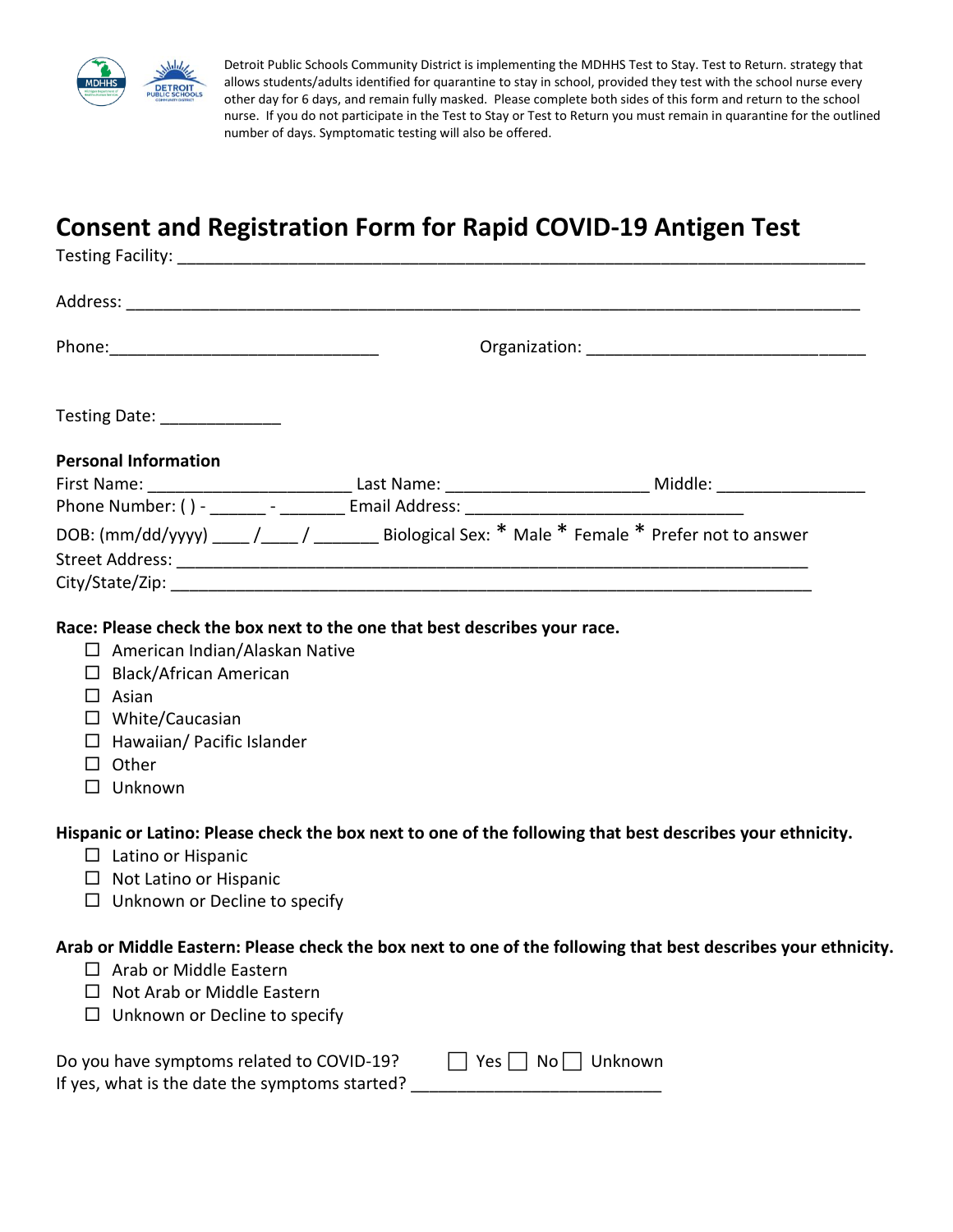

Detroit Public Schools Community District is implementing the MDHHS Test to Stay. Test to Return. strategy that allows students/adults identified for quarantine to stay in school, provided they test with the school nurse every other day for 6 days, and remain fully masked. Please complete both sides of this form and return to the school nurse. If you do not participate in the Test to Stay or Test to Return you must remain in quarantine for the outlined number of days. Symptomatic testing will also be offered.

## **Consent and Registration Form for Rapid COVID-19 Antigen Test**

|                  | Testing Date: _______________                                                                                                                                                                                                                                        |  |                             |                                                                                                               |  |
|------------------|----------------------------------------------------------------------------------------------------------------------------------------------------------------------------------------------------------------------------------------------------------------------|--|-----------------------------|---------------------------------------------------------------------------------------------------------------|--|
|                  | <b>Personal Information</b>                                                                                                                                                                                                                                          |  |                             | DOB: (mm/dd/yyyy) ____ /____ / _______ Biological Sex: * Male * Female * Prefer not to answer                 |  |
|                  | Race: Please check the box next to the one that best describes your race.<br>$\Box$ American Indian/Alaskan Native<br>$\Box$ Black/African American<br>$\Box$ Asian<br>$\Box$ White/Caucasian<br>$\Box$ Hawaiian/ Pacific Islander<br>$\Box$ Other<br>$\Box$ Unknown |  |                             |                                                                                                               |  |
|                  | $\Box$ Latino or Hispanic<br>$\Box$ Not Latino or Hispanic<br>$\Box$ Unknown or Decline to specify                                                                                                                                                                   |  |                             | Hispanic or Latino: Please check the box next to one of the following that best describes your ethnicity.     |  |
| $\Box$<br>$\Box$ | Arab or Middle Eastern<br>Not Arab or Middle Eastern<br>Unknown or Decline to specify                                                                                                                                                                                |  |                             | Arab or Middle Eastern: Please check the box next to one of the following that best describes your ethnicity. |  |
|                  | Do you have symptoms related to COVID-19?<br>If yes, what is the date the symptoms started?                                                                                                                                                                          |  | Yes $\vert$ $\vert$<br>$No$ | Unknown                                                                                                       |  |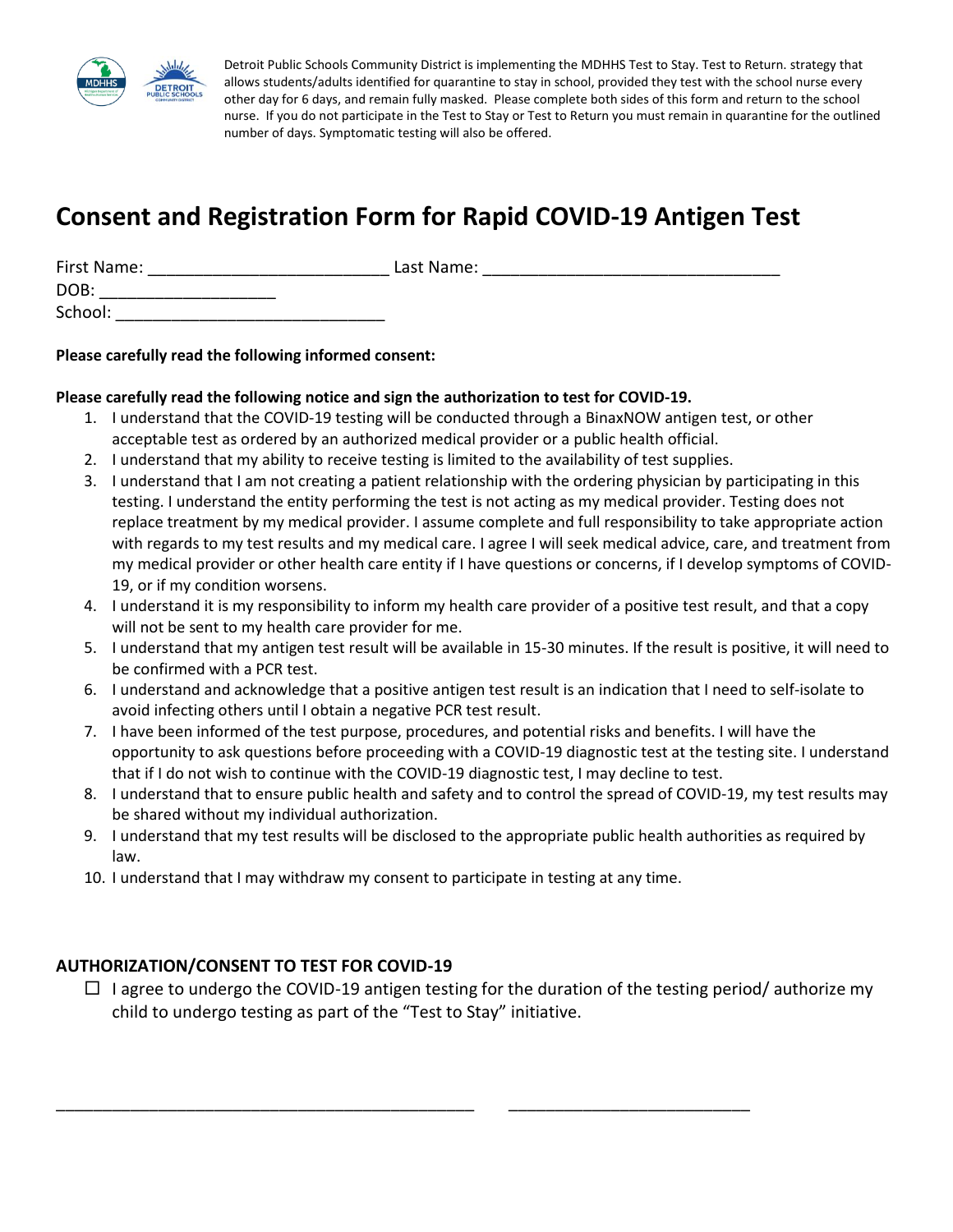

Detroit Public Schools Community District is implementing the MDHHS Test to Stay. Test to Return. strategy that allows students/adults identified for quarantine to stay in school, provided they test with the school nurse every other day for 6 days, and remain fully masked. Please complete both sides of this form and return to the school nurse. If you do not participate in the Test to Stay or Test to Return you must remain in quarantine for the outlined number of days. Symptomatic testing will also be offered.

# **Consent and Registration Form for Rapid COVID-19 Antigen Test**

| First Name: | Last Name: |
|-------------|------------|
| DOB:        |            |
| School:     |            |

#### **Please carefully read the following informed consent:**

#### **Please carefully read the following notice and sign the authorization to test for COVID-19.**

- 1. I understand that the COVID-19 testing will be conducted through a BinaxNOW antigen test, or other acceptable test as ordered by an authorized medical provider or a public health official.
- 2. I understand that my ability to receive testing is limited to the availability of test supplies.
- 3. I understand that I am not creating a patient relationship with the ordering physician by participating in this testing. I understand the entity performing the test is not acting as my medical provider. Testing does not replace treatment by my medical provider. I assume complete and full responsibility to take appropriate action with regards to my test results and my medical care. I agree I will seek medical advice, care, and treatment from my medical provider or other health care entity if I have questions or concerns, if I develop symptoms of COVID-19, or if my condition worsens.
- 4. I understand it is my responsibility to inform my health care provider of a positive test result, and that a copy will not be sent to my health care provider for me.
- 5. I understand that my antigen test result will be available in 15-30 minutes. If the result is positive, it will need to be confirmed with a PCR test.
- 6. I understand and acknowledge that a positive antigen test result is an indication that I need to self-isolate to avoid infecting others until I obtain a negative PCR test result.
- 7. I have been informed of the test purpose, procedures, and potential risks and benefits. I will have the opportunity to ask questions before proceeding with a COVID-19 diagnostic test at the testing site. I understand that if I do not wish to continue with the COVID-19 diagnostic test, I may decline to test.
- 8. I understand that to ensure public health and safety and to control the spread of COVID-19, my test results may be shared without my individual authorization.
- 9. I understand that my test results will be disclosed to the appropriate public health authorities as required by law.
- 10. I understand that I may withdraw my consent to participate in testing at any time.

\_\_\_\_\_\_\_\_\_\_\_\_\_\_\_\_\_\_\_\_\_\_\_\_\_\_\_\_\_\_\_\_\_\_\_\_\_\_\_\_\_\_\_\_\_ \_\_\_\_\_\_\_\_\_\_\_\_\_\_\_\_\_\_\_\_\_\_\_\_\_\_

### **AUTHORIZATION/CONSENT TO TEST FOR COVID-19**

 $\Box$  I agree to undergo the COVID-19 antigen testing for the duration of the testing period/ authorize my child to undergo testing as part of the "Test to Stay" initiative.